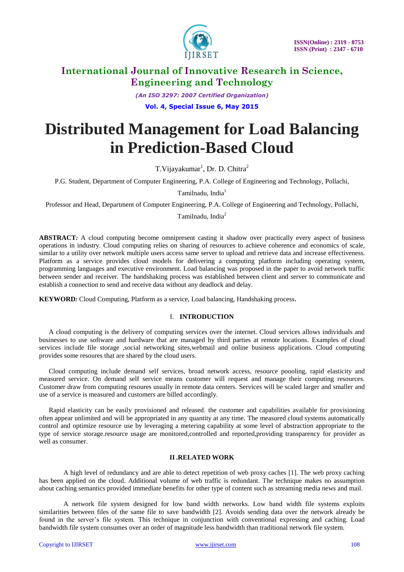

*(An ISO 3297: 2007 Certified Organization)* **Vol. 4, Special Issue 6, May 2015**

# **Distributed Management for Load Balancing in Prediction-Based Cloud**

T.Vijayakumar<sup>1</sup>, Dr. D. Chitra<sup>2</sup>

P.G. Student, Department of Computer Engineering, P.A. College of Engineering and Technology, Pollachi,

Tamilnadu, India<sup>1</sup>

Professor and Head, Department of Computer Engineering, P.A. College of Engineering and Technology, Pollachi,

Tamilnadu, India<sup>2</sup>

**ABSTRACT***:* A cloud computing become omnipresent casting it shadow over practically every aspect of business operations in industry. Cloud computing relies on sharing of resources to achieve coherence and economics of scale, similar to a utility over network multiple users access same server to upload and retrieve data and increase effectiveness. Platform as a service provides cloud models for delivering a computing platform including operating system, programming languages and executive environment. Load balancing was proposed in the paper to avoid network traffic between sender and receiver. The handshaking process was established between client and server to communicate and establish a connection to send and receive data without any deadlock and delay.

**KEYWORD***:* Cloud Computing, Platform as a service, Load balancing, Handshaking process**.**

#### I. **INTRODUCTION**

A cloud computing is the delivery of computing services over the internet. Cloud services allows individuals and businesses to use software and hardware that are managed by third parties at remote locations. Examples of cloud services include file storage ,social networking sites,webmail and online business applications. Cloud computing provides some resoures that are shared by the cloud users.

Cloud computing include demand self services, broad network access, resource poooling, rapid elasticity and measured service. On demand self service means customer will request and manage their computing resources. Customer draw from computing resoures usually in remote data centers. Services will be scaled larger and smaller and use of a service is measured and customers are billed accordingly.

Rapid elasticity can be easily provisioned and released. the customer and capabilities available for provisioning often appear unlimited and will be appropriated in any quantity at any time. The measured cloud systems automatically control and optimize resource use by leveraging a metering capability at some level of abstraction appropriate to the type of service storage.resource usage are monitored,controlled and reported,providing transparency for provider as well as consumer.

#### **II .RELATED WORK**

A high level of redundancy and are able to detect repetition of web proxy caches [1]. The web proxy caching has been applied on the cloud. Additional volume of web traffic is redundant. The technique makes no assumption about caching semantics provided immediate benefits for other type of content such as streaming media news and mail.

A network file system designed for low band width networks. Low band width file systems exploits similarities between files of the same file to save bandwidth [2]. Avoids sending data over the network already be found in the server's file system. This technique in conjunction with conventional expressing and caching. Load bandwidth file system consumes over an order of magnitude less bandwidth than traditional network file system.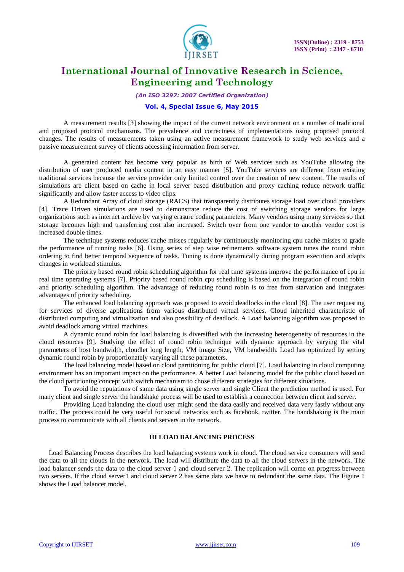

*(An ISO 3297: 2007 Certified Organization)*

#### **Vol. 4, Special Issue 6, May 2015**

A measurement results [3] showing the impact of the current network environment on a number of traditional and proposed protocol mechanisms. The prevalence and correctness of implementations using proposed protocol changes. The results of measurements taken using an active measurement framework to study web services and a passive measurement survey of clients accessing information from server.

A generated content has become very popular as birth of Web services such as YouTube allowing the distribution of user produced media content in an easy manner [5]. YouTube services are different from existing traditional services because the service provider only limited control over the creation of new content. The results of simulations are client based on cache in local server based distribution and proxy caching reduce network traffic significantly and allow faster access to video clips.

A Redundant Array of cloud storage (RACS) that transparently distributes storage load over cloud providers [4]. Trace Driven simulations are used to demonstrate reduce the cost of switching storage vendors for large organizations such as internet archive by varying erasure coding parameters. Many vendors using many services so that storage becomes high and transferring cost also increased. Switch over from one vendor to another vendor cost is increased double times.

The technique systems reduces cache misses regularly by continuously monitoring cpu cache misses to grade the performance of running tasks [6]. Using series of step wise refinements software system tunes the round robin ordering to find better temporal sequence of tasks. Tuning is done dynamically during program execution and adapts changes in workload stimulus.

The priority based round robin scheduling algorithm for real time systems improve the performance of cpu in real time operating systems [7]. Priority based round robin cpu scheduling is based on the integration of round robin and priority scheduling algorithm. The advantage of reducing round robin is to free from starvation and integrates advantages of priority scheduling.

The enhanced load balancing approach was proposed to avoid deadlocks in the cloud [8]. The user requesting for services of diverse applications from various distributed virtual services. Cloud inherited characteristic of distributed computing and virtualization and also possibility of deadlock. A Load balancing algorithm was proposed to avoid deadlock among virtual machines.

A dynamic round robin for load balancing is diversified with the increasing heterogeneity of resources in the cloud resources [9]. Studying the effect of round robin technique with dynamic approach by varying the vital parameters of host bandwidth, cloudlet long length, VM image Size, VM bandwidth. Load has optimized by setting dynamic round robin by proportionately varying all these parameters.

The load balancing model based on cloud partitioning for public cloud [7]. Load balancing in cloud computing environment has an important impact on the performance. A better Load balancing model for the public cloud based on the cloud partitioning concept with switch mechanism to chose different strategies for different situations.

To avoid the reputations of same data using single server and single Client the prediction method is used. For many client and single server the handshake process will be used to establish a connection between client and server.

Providing Load balancing the cloud user might send the data easily and received data very fastly without any traffic. The process could be very useful for social networks such as facebook, twitter. The handshaking is the main process to communicate with all clients and servers in the network.

#### **III LOAD BALANCING PROCESS**

Load Balancing Process describes the load balancing systems work in cloud. The cloud service consumers will send the data to all the clouds in the network. The load will distribute the data to all the cloud servers in the network. The load balancer sends the data to the cloud server 1 and cloud server 2. The replication will come on progress between two servers. If the cloud server1 and cloud server 2 has same data we have to redundant the same data. The Figure 1 shows the Load balancer model.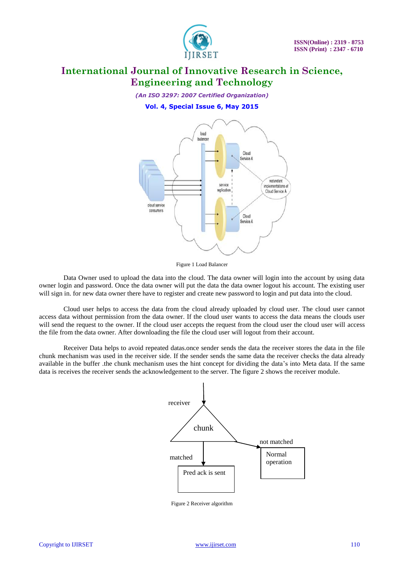

*(An ISO 3297: 2007 Certified Organization)* **Vol. 4, Special Issue 6, May 2015**



Figure 1 Load Balancer

Data Owner used to upload the data into the cloud. The data owner will login into the account by using data owner login and password. Once the data owner will put the data the data owner logout his account. The existing user will sign in. for new data owner there have to register and create new password to login and put data into the cloud.

Cloud user helps to access the data from the cloud already uploaded by cloud user. The cloud user cannot access data without permission from the data owner. If the cloud user wants to access the data means the clouds user will send the request to the owner. If the cloud user accepts the request from the cloud user the cloud user will access the file from the data owner. After downloading the file the cloud user will logout from their account.

Receiver Data helps to avoid repeated datas.once sender sends the data the receiver stores the data in the file chunk mechanism was used in the receiver side. If the sender sends the same data the receiver checks the data already available in the buffer .the chunk mechanism uses the hint concept for dividing the data's into Meta data. If the same data is receives the receiver sends the acknowledgement to the server. The figure 2 shows the receiver module.



Figure 2 Receiver algorithm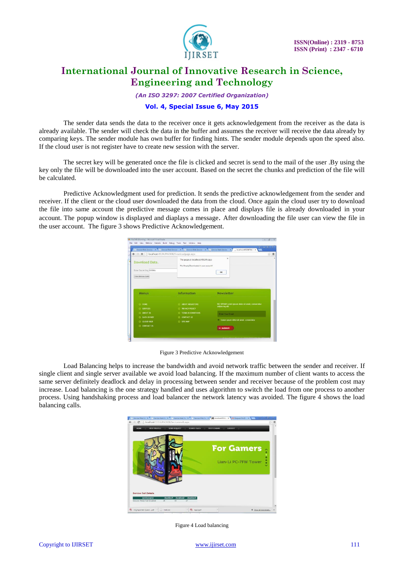

*(An ISO 3297: 2007 Certified Organization)*

### **Vol. 4, Special Issue 6, May 2015**

The sender data sends the data to the receiver once it gets acknowledgement from the receiver as the data is already available. The sender will check the data in the buffer and assumes the receiver will receive the data already by comparing keys. The sender module has own buffer for finding hints. The sender module depends upon the speed also. If the cloud user is not register have to create new session with the server.

The secret key will be generated once the file is clicked and secret is send to the mail of the user .By using the key only the file will be downloaded into the user account. Based on the secret the chunks and prediction of the file will be calculated.

Predictive Acknowledgment used for prediction. It sends the predictive acknowledgement from the sender and receiver. If the client or the cloud user downloaded the data from the cloud. Once again the cloud user try to download the file into same account the predictive message comes in place and displays file is already downloaded in your account. The popup window is displayed and diaplays a message. After downloading the file user can view the file in the user account. The figure 3 shows Predictive Acknowledgement.

|                                                 | Service Web Service X 1 Service Web Service X Service Web Service X 5 Service Web Service X | - localhost-49194/PACIC *                        |                |
|-------------------------------------------------|---------------------------------------------------------------------------------------------|--------------------------------------------------|----------------|
| ← → X   bcalhost-49194/PACK08/Downloadpage.aspx |                                                                                             |                                                  | $\frac{1}{12}$ |
| Download Data.<br>Enter Secret Key 635064       | The page at localhost:49194 says:<br>File Already Downloaded in your account!!              | $\times$<br>OK                                   |                |
| View Service Calls                              |                                                                                             |                                                  |                |
|                                                 |                                                                                             |                                                  |                |
| Menus                                           | Information                                                                                 | <b>Newsletter</b>                                |                |
| O HOME                                          | C ABOUT MEGASTORE                                                                           | NO SPAMI Lorem ipsum dolor sit amet, consectetur |                |
| C SERVICES                                      | C <b>FRIVACY POLICY</b>                                                                     | adipiscing slit                                  |                |
| O ABOUT US                                      | <b>O TERMS &amp; CONDITIONS</b>                                                             | <b>Erser Your Email</b>                          |                |
| <b>C DATA OWNER</b>                             | C CONTACT US                                                                                |                                                  |                |
| $O$ CLOUD USER                                  | O SITE MAP                                                                                  | Lorem ipsum dolor sit amet, consectetur          |                |

Figure 3 Predictive Acknowledgement

Load Balancing helps to increase the bandwidth and avoid network traffic between the sender and receiver. If single client and single server available we avoid load balancing. If the maximum number of client wants to access the same server definitely deadlock and delay in processing between sender and receiver because of the problem cost may increase. Load balancing is the one strategy handled and uses algorithm to switch the load from one process to another process. Using handshaking process and load balancer the network latency was avoided. The figure 4 shows the load balancing calls.



Figure 4 Load balancing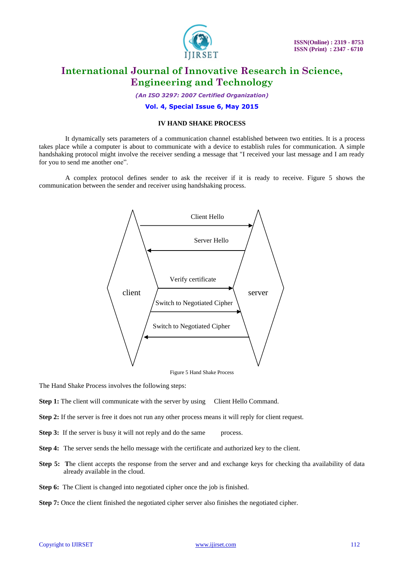

*(An ISO 3297: 2007 Certified Organization)*

**Vol. 4, Special Issue 6, May 2015**

### **IV HAND SHAKE PROCESS**

It dynamically sets parameters of a communication channel established between two entities. It is a process takes place while a computer is about to communicate with a device to establish rules for communication. A simple handshaking protocol might involve the receiver sending a message that "I received your last message and I am ready for you to send me another one".

A complex protocol defines sender to ask the receiver if it is ready to receive. Figure 5 shows the communication between the sender and receiver using handshaking process.



Figure 5 Hand Shake Process

The Hand Shake Process involves the following steps:

**Step 1:** The client will communicate with the server by using Client Hello Command.

- **Step 2:** If the server is free it does not run any other process means it will reply for client request.
- **Step 3:** If the server is busy it will not reply and do the same process.
- **Step 4:** The server sends the hello message with the certificate and authorized key to the client.
- **Step 5:** The client accepts the response from the server and and exchange keys for checking tha availability of data already available in the cloud.
- **Step 6:** The Client is changed into negotiated cipher once the job is finished.
- **Step 7:** Once the client finished the negotiated cipher server also finishes the negotiated cipher.